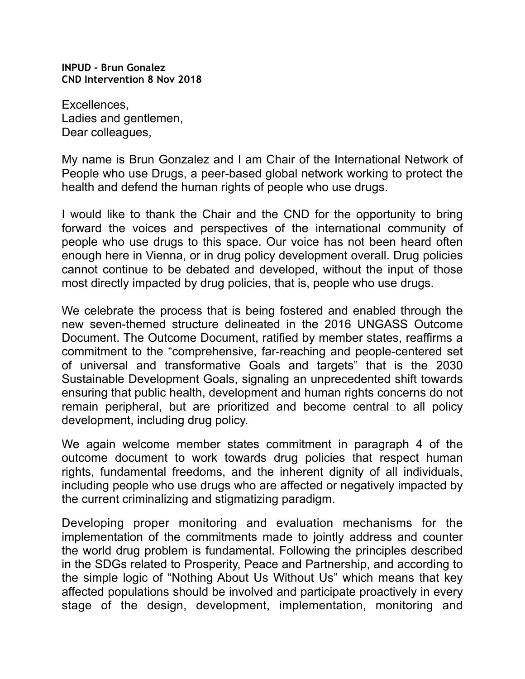**INPUD - Brun Gonalez CND Intervention 8 Nov 2018** 

Excellences, Ladies and gentlemen, Dear colleagues,

My name is Brun Gonzalez and I am Chair of the International Network of People who use Drugs, a peer-based global network working to protect the health and defend the human rights of people who use drugs.

I would like to thank the Chair and the CND for the opportunity to bring forward the voices and perspectives of the international community of people who use drugs to this space. Our voice has not been heard often enough here in Vienna, or in drug policy development overall. Drug policies cannot continue to be debated and developed, without the input of those most directly impacted by drug policies, that is, people who use drugs.

We celebrate the process that is being fostered and enabled through the new seven-themed structure delineated in the 2016 UNGASS Outcome Document. The Outcome Document, ratified by member states, reaffirms a commitment to the "comprehensive, far-reaching and people-centered set of universal and transformative Goals and targets" that is the 2030 Sustainable Development Goals, signaling an unprecedented shift towards ensuring that public health, development and human rights concerns do not remain peripheral, but are prioritized and become central to all policy development, including drug policy.

We again welcome member states commitment in paragraph 4 of the outcome document to work towards drug policies that respect human rights, fundamental freedoms, and the inherent dignity of all individuals, including people who use drugs who are affected or negatively impacted by the current criminalizing and stigmatizing paradigm.

Developing proper monitoring and evaluation mechanisms for the implementation of the commitments made to jointly address and counter the world drug problem is fundamental. Following the principles described in the SDGs related to Prosperity, Peace and Partnership, and according to the simple logic of "Nothing About Us Without Us" which means that key affected populations should be involved and participate proactively in every stage of the design, development, implementation, monitoring and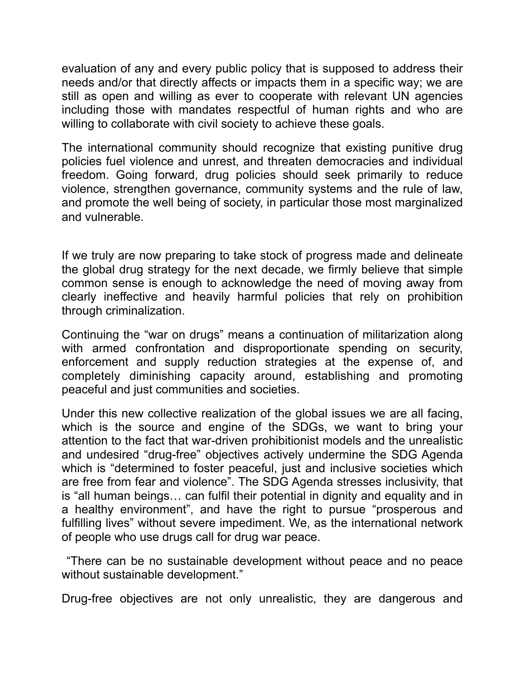evaluation of any and every public policy that is supposed to address their needs and/or that directly affects or impacts them in a specific way; we are still as open and willing as ever to cooperate with relevant UN agencies including those with mandates respectful of human rights and who are willing to collaborate with civil society to achieve these goals.

The international community should recognize that existing punitive drug policies fuel violence and unrest, and threaten democracies and individual freedom. Going forward, drug policies should seek primarily to reduce violence, strengthen governance, community systems and the rule of law, and promote the well being of society, in particular those most marginalized and vulnerable.

If we truly are now preparing to take stock of progress made and delineate the global drug strategy for the next decade, we firmly believe that simple common sense is enough to acknowledge the need of moving away from clearly ineffective and heavily harmful policies that rely on prohibition through criminalization.

Continuing the "war on drugs" means a continuation of militarization along with armed confrontation and disproportionate spending on security, enforcement and supply reduction strategies at the expense of, and completely diminishing capacity around, establishing and promoting peaceful and just communities and societies.

Under this new collective realization of the global issues we are all facing, which is the source and engine of the SDGs, we want to bring your attention to the fact that war-driven prohibitionist models and the unrealistic and undesired "drug-free" objectives actively undermine the SDG Agenda which is "determined to foster peaceful, just and inclusive societies which are free from fear and violence". The SDG Agenda stresses inclusivity, that is "all human beings… can fulfil their potential in dignity and equality and in a healthy environment", and have the right to pursue "prosperous and fulfilling lives" without severe impediment. We, as the international network of people who use drugs call for drug war peace.

 "There can be no sustainable development without peace and no peace without sustainable development."

Drug-free objectives are not only unrealistic, they are dangerous and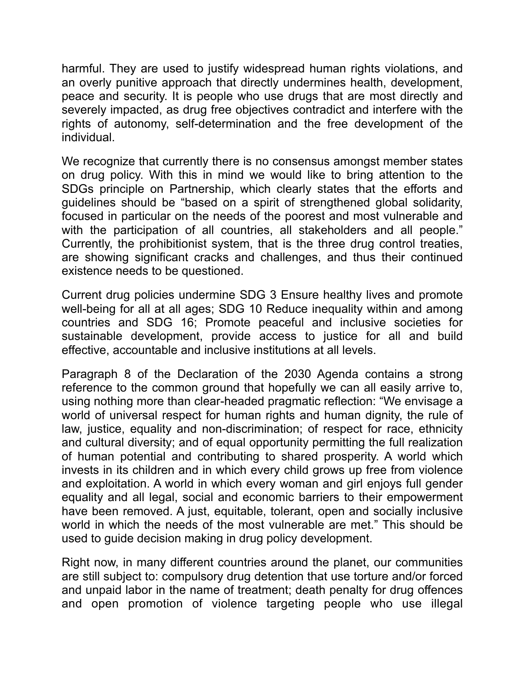harmful. They are used to justify widespread human rights violations, and an overly punitive approach that directly undermines health, development, peace and security. It is people who use drugs that are most directly and severely impacted, as drug free objectives contradict and interfere with the rights of autonomy, self-determination and the free development of the individual.

We recognize that currently there is no consensus amongst member states on drug policy. With this in mind we would like to bring attention to the SDGs principle on Partnership, which clearly states that the efforts and guidelines should be "based on a spirit of strengthened global solidarity, focused in particular on the needs of the poorest and most vulnerable and with the participation of all countries, all stakeholders and all people." Currently, the prohibitionist system, that is the three drug control treaties, are showing significant cracks and challenges, and thus their continued existence needs to be questioned.

Current drug policies undermine SDG 3 Ensure healthy lives and promote well-being for all at all ages; SDG 10 Reduce inequality within and among countries and SDG 16; Promote peaceful and inclusive societies for sustainable development, provide access to justice for all and build effective, accountable and inclusive institutions at all levels.

Paragraph 8 of the Declaration of the 2030 Agenda contains a strong reference to the common ground that hopefully we can all easily arrive to, using nothing more than clear-headed pragmatic reflection: "We envisage a world of universal respect for human rights and human dignity, the rule of law, justice, equality and non-discrimination; of respect for race, ethnicity and cultural diversity; and of equal opportunity permitting the full realization of human potential and contributing to shared prosperity. A world which invests in its children and in which every child grows up free from violence and exploitation. A world in which every woman and girl enjoys full gender equality and all legal, social and economic barriers to their empowerment have been removed. A just, equitable, tolerant, open and socially inclusive world in which the needs of the most vulnerable are met." This should be used to guide decision making in drug policy development.

Right now, in many different countries around the planet, our communities are still subject to: compulsory drug detention that use torture and/or forced and unpaid labor in the name of treatment; death penalty for drug offences and open promotion of violence targeting people who use illegal